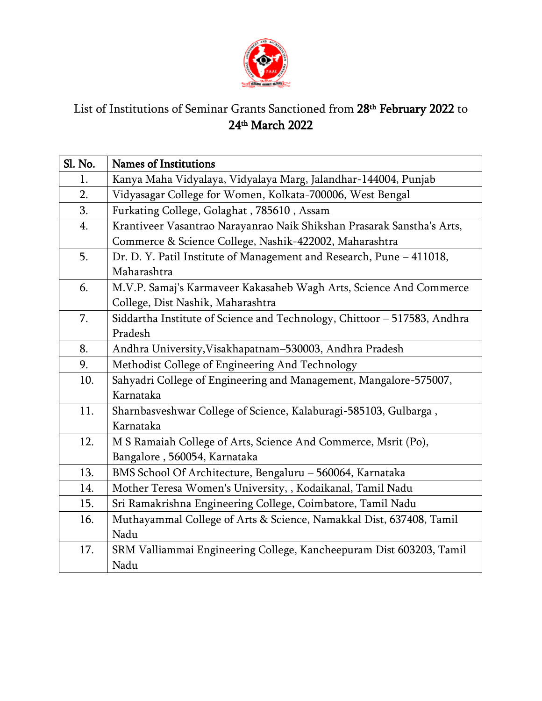

## List of Institutions of Seminar Grants Sanctioned from 28<sup>th</sup> Fe**bruary 2022** to 24th March 2022

| Sl. No. | <b>Names of Institutions</b>                                             |
|---------|--------------------------------------------------------------------------|
| 1.      | Kanya Maha Vidyalaya, Vidyalaya Marg, Jalandhar-144004, Punjab           |
| 2.      | Vidyasagar College for Women, Kolkata-700006, West Bengal                |
| 3.      | Furkating College, Golaghat, 785610, Assam                               |
| 4.      | Krantiveer Vasantrao Narayanrao Naik Shikshan Prasarak Sanstha's Arts,   |
|         | Commerce & Science College, Nashik-422002, Maharashtra                   |
| 5.      | Dr. D. Y. Patil Institute of Management and Research, Pune - 411018,     |
|         | Maharashtra                                                              |
| 6.      | M.V.P. Samaj's Karmaveer Kakasaheb Wagh Arts, Science And Commerce       |
|         | College, Dist Nashik, Maharashtra                                        |
| 7.      | Siddartha Institute of Science and Technology, Chittoor - 517583, Andhra |
|         | Pradesh                                                                  |
| 8.      | Andhra University, Visakhapatnam-530003, Andhra Pradesh                  |
| 9.      | Methodist College of Engineering And Technology                          |
| 10.     | Sahyadri College of Engineering and Management, Mangalore-575007,        |
|         | Karnataka                                                                |
| 11.     | Sharnbasveshwar College of Science, Kalaburagi-585103, Gulbarga,         |
|         | Karnataka                                                                |
| 12.     | M S Ramaiah College of Arts, Science And Commerce, Msrit (Po),           |
|         | Bangalore, 560054, Karnataka                                             |
| 13.     | BMS School Of Architecture, Bengaluru - 560064, Karnataka                |
| 14.     | Mother Teresa Women's University, , Kodaikanal, Tamil Nadu               |
| 15.     | Sri Ramakrishna Engineering College, Coimbatore, Tamil Nadu              |
| 16.     | Muthayammal College of Arts & Science, Namakkal Dist, 637408, Tamil      |
|         | Nadu                                                                     |
| 17.     | SRM Valliammai Engineering College, Kancheepuram Dist 603203, Tamil      |
|         | Nadu                                                                     |